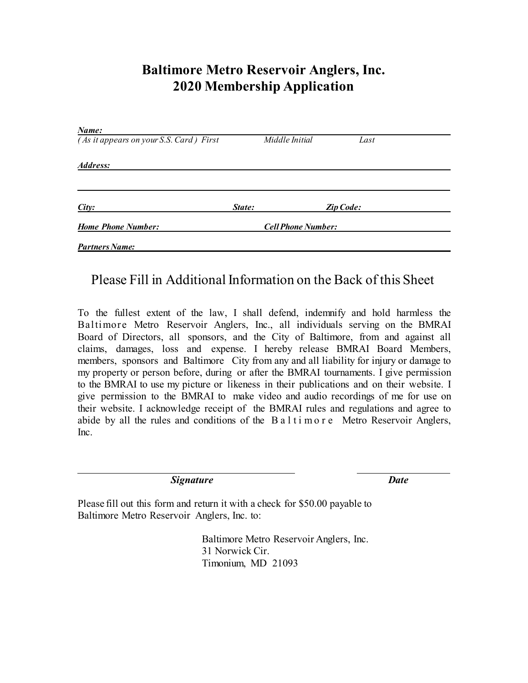### **Baltimore Metro Reservoir Anglers, Inc. 2020 Membership Application**

| Name:                                   |                           |                |                  |  |
|-----------------------------------------|---------------------------|----------------|------------------|--|
| (As it appears on your S.S. Card) First |                           | Middle Initial | Last             |  |
| Address:                                |                           |                |                  |  |
|                                         |                           |                |                  |  |
| City:                                   | State:                    |                | <b>Zip Code:</b> |  |
| <b>Home Phone Number:</b>               | <b>Cell Phone Number:</b> |                |                  |  |
| <b>Partners Name:</b>                   |                           |                |                  |  |

#### Please Fill in Additional Information on the Back of this Sheet

To the fullest extent of the law, I shall defend, indemnify and hold harmless the Baltimore Metro Reservoir Anglers, Inc., all individuals serving on the BMRAI Board of Directors, all sponsors, and the City of Baltimore, from and against all claims, damages, loss and expense. I hereby release BMRAI Board Members, members, sponsors and Baltimore City from any and all liability for injury or damage to my property or person before, during or after the BMRAI tournaments. I give permission to the BMRAI to use my picture or likeness in their publications and on their website. I give permission to the BMRAI to make video and audio recordings of me for use on their website. I acknowledge receipt of the BMRAI rules and regulations and agree to abide by all the rules and conditions of the  $B$  a l t i m o r e Metro Reservoir Anglers, Inc.

*Signature Date*

Please fill out this form and return it with a check for \$50.00 payable to Baltimore Metro Reservoir Anglers, Inc. to:

> Baltimore Metro Reservoir Anglers, Inc. 31 Norwick Cir. Timonium, MD 21093